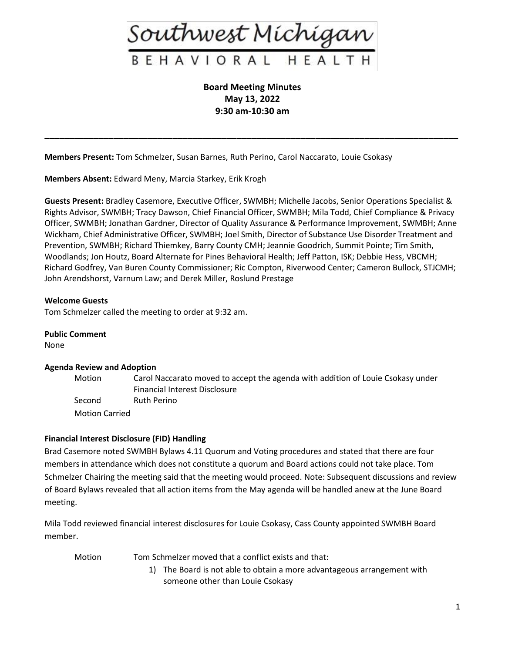

**Board Meeting Minutes May 13, 2022 9:30 am-10:30 am**

**\_\_\_\_\_\_\_\_\_\_\_\_\_\_\_\_\_\_\_\_\_\_\_\_\_\_\_\_\_\_\_\_\_\_\_\_\_\_\_\_\_\_\_\_\_\_\_\_\_\_\_\_\_\_\_\_\_\_\_\_\_\_\_\_\_\_\_\_\_\_\_\_\_\_\_\_\_\_\_\_\_\_\_\_**

**Members Present:** Tom Schmelzer, Susan Barnes, Ruth Perino, Carol Naccarato, Louie Csokasy

**Members Absent:** Edward Meny, Marcia Starkey, Erik Krogh

**Guests Present:** Bradley Casemore, Executive Officer, SWMBH; Michelle Jacobs, Senior Operations Specialist & Rights Advisor, SWMBH; Tracy Dawson, Chief Financial Officer, SWMBH; Mila Todd, Chief Compliance & Privacy Officer, SWMBH; Jonathan Gardner, Director of Quality Assurance & Performance Improvement, SWMBH; Anne Wickham, Chief Administrative Officer, SWMBH; Joel Smith, Director of Substance Use Disorder Treatment and Prevention, SWMBH; Richard Thiemkey, Barry County CMH; Jeannie Goodrich, Summit Pointe; Tim Smith, Woodlands; Jon Houtz, Board Alternate for Pines Behavioral Health; Jeff Patton, ISK; Debbie Hess, VBCMH; Richard Godfrey, Van Buren County Commissioner; Ric Compton, Riverwood Center; Cameron Bullock, STJCMH; John Arendshorst, Varnum Law; and Derek Miller, Roslund Prestage

#### **Welcome Guests**

Tom Schmelzer called the meeting to order at 9:32 am.

#### **Public Comment**

None

#### **Agenda Review and Adoption**

Motion Carol Naccarato moved to accept the agenda with addition of Louie Csokasy under Financial Interest Disclosure Second Ruth Perino Motion Carried

#### **Financial Interest Disclosure (FID) Handling**

Brad Casemore noted SWMBH Bylaws 4.11 Quorum and Voting procedures and stated that there are four members in attendance which does not constitute a quorum and Board actions could not take place. Tom Schmelzer Chairing the meeting said that the meeting would proceed. Note: Subsequent discussions and review of Board Bylaws revealed that all action items from the May agenda will be handled anew at the June Board meeting.

Mila Todd reviewed financial interest disclosures for Louie Csokasy, Cass County appointed SWMBH Board member.

- Motion Tom Schmelzer moved that a conflict exists and that:
	- 1) The Board is not able to obtain a more advantageous arrangement with someone other than Louie Csokasy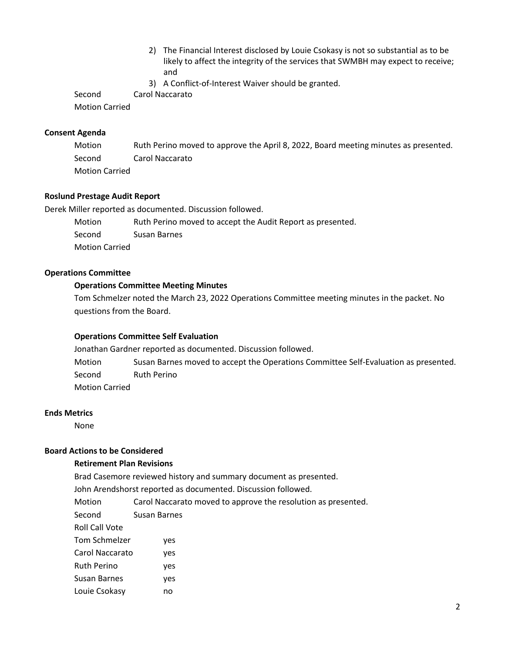- 2) The Financial Interest disclosed by Louie Csokasy is not so substantial as to be likely to affect the integrity of the services that SWMBH may expect to receive; and
- 3) A Conflict-of-Interest Waiver should be granted.

Second Carol Naccarato

Motion Carried

### **Consent Agenda**

Motion Ruth Perino moved to approve the April 8, 2022, Board meeting minutes as presented. Second Carol Naccarato Motion Carried

## **Roslund Prestage Audit Report**

Derek Miller reported as documented. Discussion followed.

Motion Ruth Perino moved to accept the Audit Report as presented. Second Susan Barnes Motion Carried

# **Operations Committee**

## **Operations Committee Meeting Minutes**

Tom Schmelzer noted the March 23, 2022 Operations Committee meeting minutes in the packet. No questions from the Board.

#### **Operations Committee Self Evaluation**

Jonathan Gardner reported as documented. Discussion followed. Motion Susan Barnes moved to accept the Operations Committee Self-Evaluation as presented. Second Ruth Perino Motion Carried

# **Ends Metrics**

None

# **Board Actions to be Considered**

#### **Retirement Plan Revisions**

Brad Casemore reviewed history and summary document as presented.

John Arendshorst reported as documented. Discussion followed.

Motion Carol Naccarato moved to approve the resolution as presented.

- Second Susan Barnes
- Roll Call Vote
- Tom Schmelzer yes
- Carol Naccarato yes
- Ruth Perino yes
- Susan Barnes yes
- Louie Csokasy no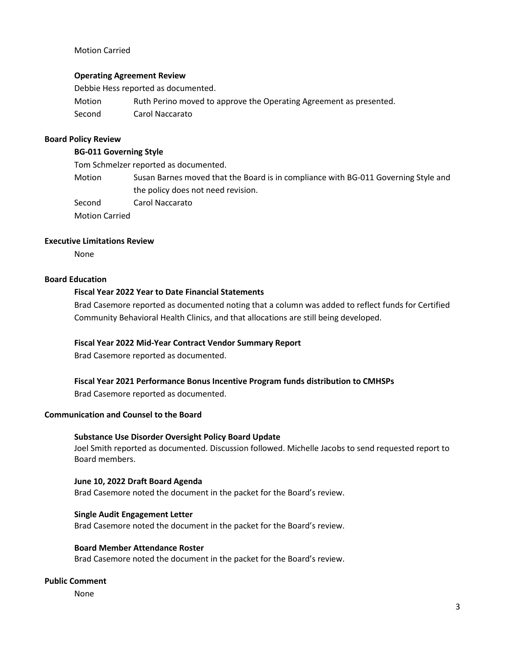## Motion Carried

## **Operating Agreement Review**

Debbie Hess reported as documented. Motion Ruth Perino moved to approve the Operating Agreement as presented. Second Carol Naccarato

### **Board Policy Review**

#### **BG-011 Governing Style**

Tom Schmelzer reported as documented.

Motion Susan Barnes moved that the Board is in compliance with BG-011 Governing Style and the policy does not need revision.

Second Carol Naccarato

Motion Carried

## **Executive Limitations Review**

None

## **Board Education**

## **Fiscal Year 2022 Year to Date Financial Statements**

Brad Casemore reported as documented noting that a column was added to reflect funds for Certified Community Behavioral Health Clinics, and that allocations are still being developed.

#### **Fiscal Year 2022 Mid-Year Contract Vendor Summary Report**

Brad Casemore reported as documented.

# **Fiscal Year 2021 Performance Bonus Incentive Program funds distribution to CMHSPs**

Brad Casemore reported as documented.

#### **Communication and Counsel to the Board**

# **Substance Use Disorder Oversight Policy Board Update**

Joel Smith reported as documented. Discussion followed. Michelle Jacobs to send requested report to Board members.

#### **June 10, 2022 Draft Board Agenda**

Brad Casemore noted the document in the packet for the Board's review.

#### **Single Audit Engagement Letter**

Brad Casemore noted the document in the packet for the Board's review.

#### **Board Member Attendance Roster**

Brad Casemore noted the document in the packet for the Board's review.

### **Public Comment**

None